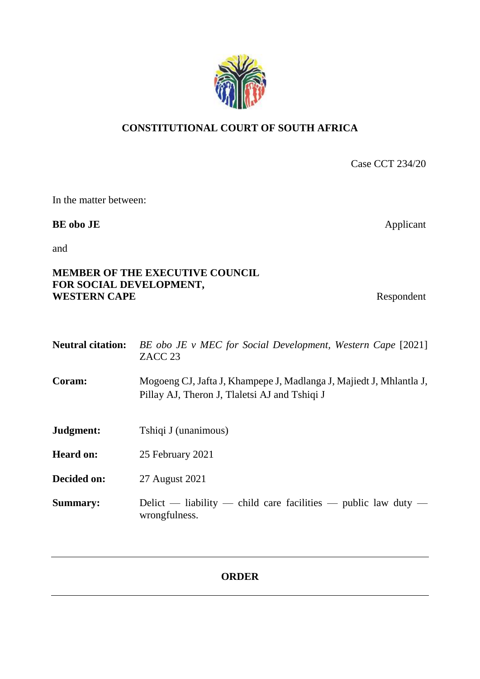# **CONSTITUTIONAL COURT OF SOUTH AFRICA**

Case CCT 234/20

In the matter between:

# **BE obo JE** Applicant

and

## **MEMBER OF THE EXECUTIVE COUNCIL FOR SOCIAL DEVELOPMENT, WESTERN CAPE** Respondent

| <b>Neutral citation:</b> | BE obo JE v MEC for Social Development, Western Cape [2021]<br>ZACC <sub>23</sub>                                    |
|--------------------------|----------------------------------------------------------------------------------------------------------------------|
| Coram:                   | Mogoeng CJ, Jafta J, Khampepe J, Madlanga J, Majiedt J, Mhlantla J,<br>Pillay AJ, Theron J, Tlaletsi AJ and Tshiqi J |
| Judgment:                | Tshiqi J (unanimous)                                                                                                 |
| <b>Heard on:</b>         | 25 February 2021                                                                                                     |
| Decided on:              | 27 August 2021                                                                                                       |
| <b>Summary:</b>          | Delict — liability — child care facilities — public law duty —<br>wrongfulness.                                      |

# **ORDER**

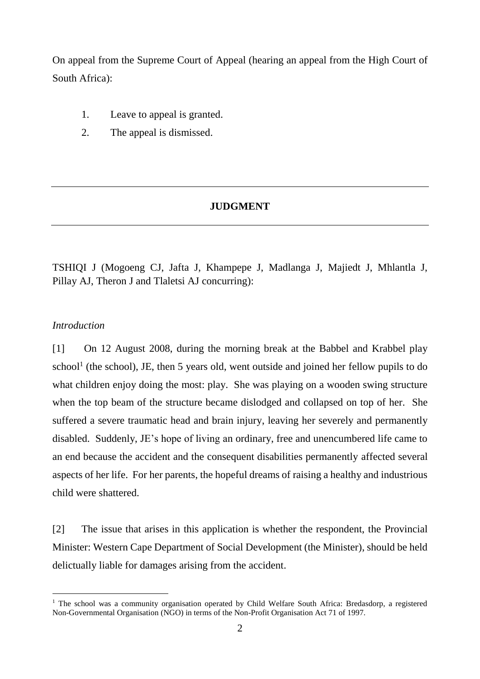On appeal from the Supreme Court of Appeal (hearing an appeal from the High Court of South Africa):

- 1. Leave to appeal is granted.
- 2. The appeal is dismissed.

## **JUDGMENT**

TSHIQI J (Mogoeng CJ, Jafta J, Khampepe J, Madlanga J, Majiedt J, Mhlantla J, Pillay AJ, Theron J and Tlaletsi AJ concurring):

## *Introduction*

 $\overline{a}$ 

[1] On 12 August 2008, during the morning break at the Babbel and Krabbel play school<sup>1</sup> (the school), JE, then 5 years old, went outside and joined her fellow pupils to do what children enjoy doing the most: play. She was playing on a wooden swing structure when the top beam of the structure became dislodged and collapsed on top of her. She suffered a severe traumatic head and brain injury, leaving her severely and permanently disabled. Suddenly, JE's hope of living an ordinary, free and unencumbered life came to an end because the accident and the consequent disabilities permanently affected several aspects of her life. For her parents, the hopeful dreams of raising a healthy and industrious child were shattered.

[2] The issue that arises in this application is whether the respondent, the Provincial Minister: Western Cape Department of Social Development (the Minister), should be held delictually liable for damages arising from the accident.

<sup>&</sup>lt;sup>1</sup> The school was a community organisation operated by Child Welfare South Africa: Bredasdorp, a registered Non-Governmental Organisation (NGO) in terms of the Non-Profit Organisation Act 71 of 1997.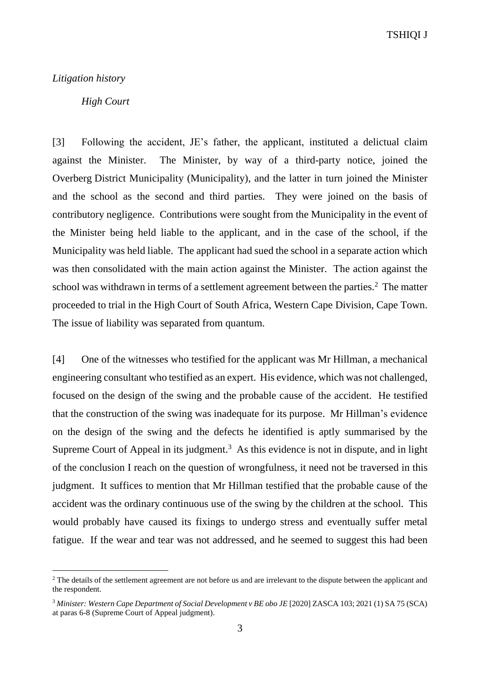TSHIQI J

#### *Litigation history*

 $\overline{a}$ 

## *High Court*

[3] Following the accident, JE's father, the applicant, instituted a delictual claim against the Minister. The Minister, by way of a third-party notice, joined the Overberg District Municipality (Municipality), and the latter in turn joined the Minister and the school as the second and third parties. They were joined on the basis of contributory negligence. Contributions were sought from the Municipality in the event of the Minister being held liable to the applicant, and in the case of the school, if the Municipality was held liable. The applicant had sued the school in a separate action which was then consolidated with the main action against the Minister. The action against the school was withdrawn in terms of a settlement agreement between the parties. <sup>2</sup> The matter proceeded to trial in the High Court of South Africa, Western Cape Division, Cape Town. The issue of liability was separated from quantum.

[4] One of the witnesses who testified for the applicant was Mr Hillman, a mechanical engineering consultant who testified as an expert. His evidence, which was not challenged, focused on the design of the swing and the probable cause of the accident. He testified that the construction of the swing was inadequate for its purpose. Mr Hillman's evidence on the design of the swing and the defects he identified is aptly summarised by the Supreme Court of Appeal in its judgment.<sup>3</sup> As this evidence is not in dispute, and in light of the conclusion I reach on the question of wrongfulness, it need not be traversed in this judgment. It suffices to mention that Mr Hillman testified that the probable cause of the accident was the ordinary continuous use of the swing by the children at the school. This would probably have caused its fixings to undergo stress and eventually suffer metal fatigue. If the wear and tear was not addressed, and he seemed to suggest this had been

<sup>&</sup>lt;sup>2</sup> The details of the settlement agreement are not before us and are irrelevant to the dispute between the applicant and the respondent.

<sup>3</sup> *Minister: Western Cape Department of Social Development v BE obo JE* [2020] ZASCA 103; 2021 (1) SA 75 (SCA) at paras 6-8 (Supreme Court of Appeal judgment).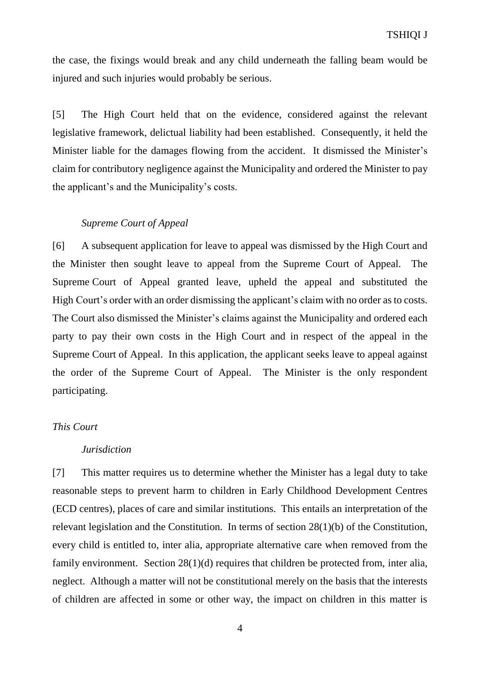the case, the fixings would break and any child underneath the falling beam would be injured and such injuries would probably be serious.

[5] The High Court held that on the evidence, considered against the relevant legislative framework, delictual liability had been established. Consequently, it held the Minister liable for the damages flowing from the accident. It dismissed the Minister's claim for contributory negligence against the Municipality and ordered the Minister to pay the applicant's and the Municipality's costs.

## *Supreme Court of Appeal*

[6] A subsequent application for leave to appeal was dismissed by the High Court and the Minister then sought leave to appeal from the Supreme Court of Appeal. The Supreme Court of Appeal granted leave, upheld the appeal and substituted the High Court's order with an order dismissing the applicant's claim with no order as to costs. The Court also dismissed the Minister's claims against the Municipality and ordered each party to pay their own costs in the High Court and in respect of the appeal in the Supreme Court of Appeal. In this application, the applicant seeks leave to appeal against the order of the Supreme Court of Appeal. The Minister is the only respondent participating.

#### *This Court*

#### *Jurisdiction*

[7] This matter requires us to determine whether the Minister has a legal duty to take reasonable steps to prevent harm to children in Early Childhood Development Centres (ECD centres), places of care and similar institutions. This entails an interpretation of the relevant legislation and the Constitution. In terms of section 28(1)(b) of the Constitution, every child is entitled to, inter alia, appropriate alternative care when removed from the family environment. Section 28(1)(d) requires that children be protected from, inter alia, neglect. Although a matter will not be constitutional merely on the basis that the interests of children are affected in some or other way, the impact on children in this matter is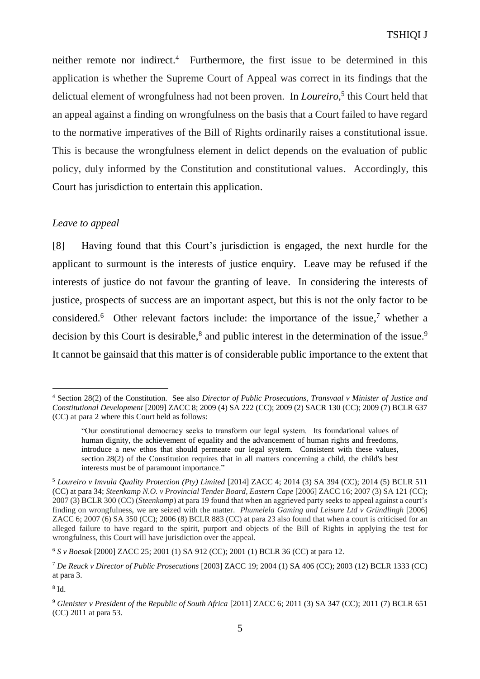neither remote nor indirect. <sup>4</sup> Furthermore, the first issue to be determined in this application is whether the Supreme Court of Appeal was correct in its findings that the delictual element of wrongfulness had not been proven. In *Loureiro*, 5 this Court held that an appeal against a finding on wrongfulness on the basis that a Court failed to have regard to the normative imperatives of the Bill of Rights ordinarily raises a constitutional issue. This is because the wrongfulness element in delict depends on the evaluation of public policy, duly informed by the Constitution and constitutional values. Accordingly, this Court has jurisdiction to entertain this application.

## *Leave to appeal*

[8] Having found that this Court's jurisdiction is engaged, the next hurdle for the applicant to surmount is the interests of justice enquiry. Leave may be refused if the interests of justice do not favour the granting of leave. In considering the interests of justice, prospects of success are an important aspect, but this is not the only factor to be considered. 6 Other relevant factors include: the importance of the issue, <sup>7</sup> whether a decision by this Court is desirable,<sup>8</sup> and public interest in the determination of the issue.<sup>9</sup> It cannot be gainsaid that this matter is of considerable public importance to the extent that

 $\overline{a}$ <sup>4</sup> Section 28(2) of the Constitution. See also *Director of Public Prosecutions, Transvaal v Minister of Justice and Constitutional Development* [2009] ZACC 8; 2009 (4) SA 222 (CC); 2009 (2) SACR 130 (CC); 2009 (7) BCLR 637 (CC) at para 2 where this Court held as follows:

<sup>&</sup>quot;Our constitutional democracy seeks to transform our legal system. Its foundational values of human dignity, the achievement of equality and the advancement of human rights and freedoms, introduce a new ethos that should permeate our legal system. Consistent with these values, section 28(2) of the Constitution requires that in all matters concerning a child, the child's best interests must be of paramount importance."

<sup>5</sup> *Loureiro v Imvula Quality Protection (Pty) Limited* [2014] ZACC 4; 2014 (3) SA 394 (CC); 2014 (5) BCLR 511 (CC) at para 34; *Steenkamp N.O. v Provincial Tender Board, Eastern Cape* [2006] ZACC 16; 2007 (3) SA 121 (CC); 2007 (3) BCLR 300 (CC) (*Steenkamp*) at para 19 found that when an aggrieved party seeks to appeal against a court's finding on wrongfulness, we are seized with the matter. *Phumelela Gaming and Leisure Ltd v Gründlingh* [2006] ZACC 6; 2007 (6) SA 350 (CC); 2006 (8) BCLR 883 (CC) at para 23 also found that when a court is criticised for an alleged failure to have regard to the spirit, purport and objects of the Bill of Rights in applying the test for wrongfulness, this Court will have jurisdiction over the appeal.

<sup>6</sup> *S v Boesak* [2000] ZACC 25; 2001 (1) SA 912 (CC); 2001 (1) BCLR 36 (CC) at para 12.

<sup>7</sup> *De Reuck v Director of Public Prosecutions* [2003] ZACC 19; 2004 (1) SA 406 (CC); 2003 (12) BCLR 1333 (CC) at para 3.

<sup>8</sup> Id.

<sup>9</sup> *Glenister v President of the Republic of South Africa* [2011] ZACC 6; 2011 (3) SA 347 (CC); 2011 (7) BCLR 651 (CC) 2011 at para 53.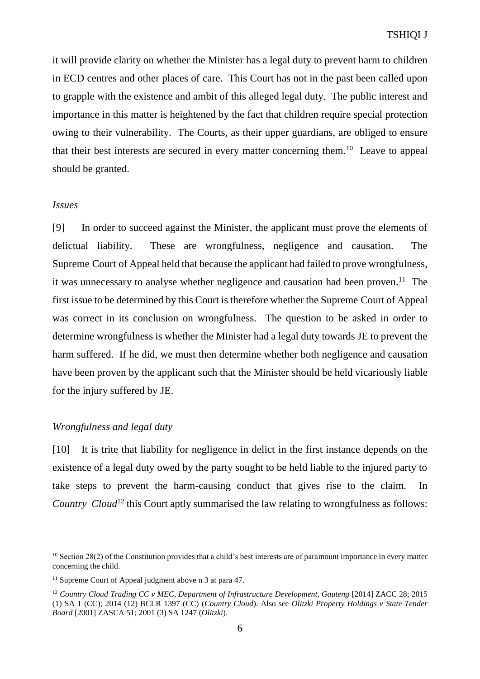it will provide clarity on whether the Minister has a legal duty to prevent harm to children in ECD centres and other places of care. This Court has not in the past been called upon to grapple with the existence and ambit of this alleged legal duty. The public interest and importance in this matter is heightened by the fact that children require special protection owing to their vulnerability. The Courts, as their upper guardians, are obliged to ensure that their best interests are secured in every matter concerning them.<sup>10</sup> Leave to appeal should be granted.

#### *Issues*

 $\overline{a}$ 

[9] In order to succeed against the Minister, the applicant must prove the elements of delictual liability. These are wrongfulness, negligence and causation. The Supreme Court of Appeal held that because the applicant had failed to prove wrongfulness, it was unnecessary to analyse whether negligence and causation had been proven.<sup>11</sup> The first issue to be determined by this Court is therefore whether the Supreme Court of Appeal was correct in its conclusion on wrongfulness. The question to be asked in order to determine wrongfulness is whether the Minister had a legal duty towards JE to prevent the harm suffered. If he did, we must then determine whether both negligence and causation have been proven by the applicant such that the Minister should be held vicariously liable for the injury suffered by JE.

#### *Wrongfulness and legal duty*

[10] It is trite that liability for negligence in delict in the first instance depends on the existence of a legal duty owed by the party sought to be held liable to the injured party to take steps to prevent the harm-causing conduct that gives rise to the claim. In *Country Cloud*<sup>12</sup> this Court aptly summarised the law relating to wrongfulness as follows:

 $10$  Section 28(2) of the Constitution provides that a child's best interests are of paramount importance in every matter concerning the child.

<sup>&</sup>lt;sup>11</sup> Supreme Court of Appeal judgment above n 3 at para 47.

<sup>12</sup> *Country Cloud Trading CC v MEC, Department of Infrastructure Development, Gauteng* [2014] ZACC 28; 2015 (1) SA 1 (CC); 2014 (12) BCLR 1397 (CC) (*Country Cloud*). Also see *Olitzki Property Holdings v State Tender Board* [2001] ZASCA 51; 2001 (3) SA 1247 (*Olitzki*).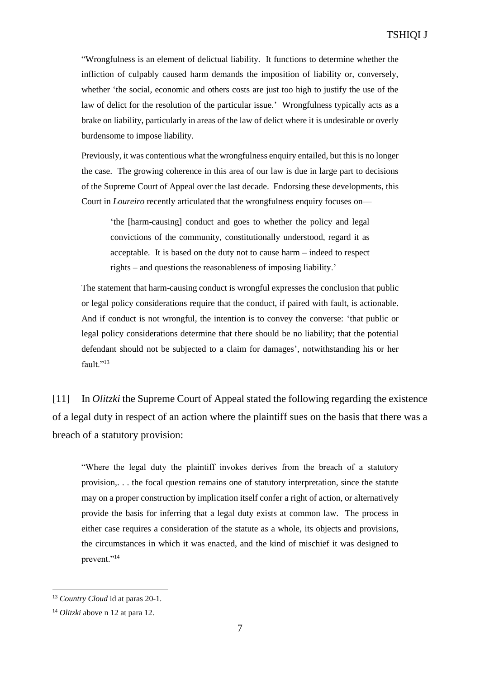"Wrongfulness is an element of delictual liability. It functions to determine whether the infliction of culpably caused harm demands the imposition of liability or, conversely, whether 'the social, economic and others costs are just too high to justify the use of the law of delict for the resolution of the particular issue.' Wrongfulness typically acts as a brake on liability, particularly in areas of the law of delict where it is undesirable or overly burdensome to impose liability.

Previously, it was contentious what the wrongfulness enquiry entailed, but this is no longer the case. The growing coherence in this area of our law is due in large part to decisions of the Supreme Court of Appeal over the last decade. Endorsing these developments, this Court in *Loureiro* recently articulated that the wrongfulness enquiry focuses on—

'the [harm-causing] conduct and goes to whether the policy and legal convictions of the community, constitutionally understood, regard it as acceptable. It is based on the duty not to cause harm – indeed to respect rights – and questions the reasonableness of imposing liability.'

The statement that harm-causing conduct is wrongful expresses the conclusion that public or legal policy considerations require that the conduct, if paired with fault, is actionable. And if conduct is not wrongful, the intention is to convey the converse: 'that public or legal policy considerations determine that there should be no liability; that the potential defendant should not be subjected to a claim for damages', notwithstanding his or her fault."<sup>13</sup>

[11] In *Olitzki* the Supreme Court of Appeal stated the following regarding the existence of a legal duty in respect of an action where the plaintiff sues on the basis that there was a breach of a statutory provision:

"Where the legal duty the plaintiff invokes derives from the breach of a statutory provision,. . . the focal question remains one of statutory interpretation, since the statute may on a proper construction by implication itself confer a right of action, or alternatively provide the basis for inferring that a legal duty exists at common law. The process in either case requires a consideration of the statute as a whole, its objects and provisions, the circumstances in which it was enacted, and the kind of mischief it was designed to prevent."<sup>14</sup>

<sup>13</sup> *Country Cloud* id at paras 20-1.

<sup>14</sup> *Olitzki* above n 12 at para 12.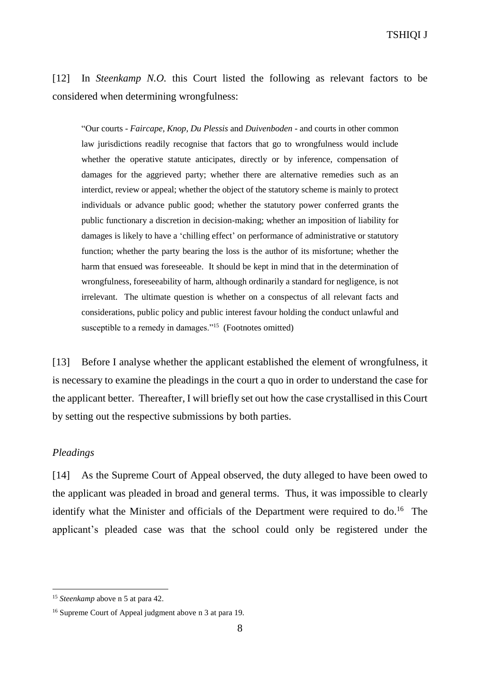TSHIQI J

[12] In *Steenkamp N.O.* this Court listed the following as relevant factors to be considered when determining wrongfulness:

"Our courts - *Faircape, Knop, Du Plessis* and *Duivenboden -* and courts in other common law jurisdictions readily recognise that factors that go to wrongfulness would include whether the operative statute anticipates, directly or by inference, compensation of damages for the aggrieved party; whether there are alternative remedies such as an interdict, review or appeal; whether the object of the statutory scheme is mainly to protect individuals or advance public good; whether the statutory power conferred grants the public functionary a discretion in decision-making; whether an imposition of liability for damages is likely to have a 'chilling effect' on performance of administrative or statutory function; whether the party bearing the loss is the author of its misfortune; whether the harm that ensued was foreseeable. It should be kept in mind that in the determination of wrongfulness, foreseeability of harm, although ordinarily a standard for negligence, is not irrelevant. The ultimate question is whether on a conspectus of all relevant facts and considerations, public policy and public interest favour holding the conduct unlawful and susceptible to a remedy in damages."<sup>15</sup> (Footnotes omitted)

[13] Before I analyse whether the applicant established the element of wrongfulness, it is necessary to examine the pleadings in the court a quo in order to understand the case for the applicant better. Thereafter, I will briefly set out how the case crystallised in this Court by setting out the respective submissions by both parties.

#### *Pleadings*

 $\overline{a}$ 

[14] As the Supreme Court of Appeal observed, the duty alleged to have been owed to the applicant was pleaded in broad and general terms. Thus, it was impossible to clearly identify what the Minister and officials of the Department were required to do.<sup>16</sup> The applicant's pleaded case was that the school could only be registered under the

<sup>15</sup> *Steenkamp* above n 5 at para 42.

<sup>16</sup> Supreme Court of Appeal judgment above n 3 at para 19.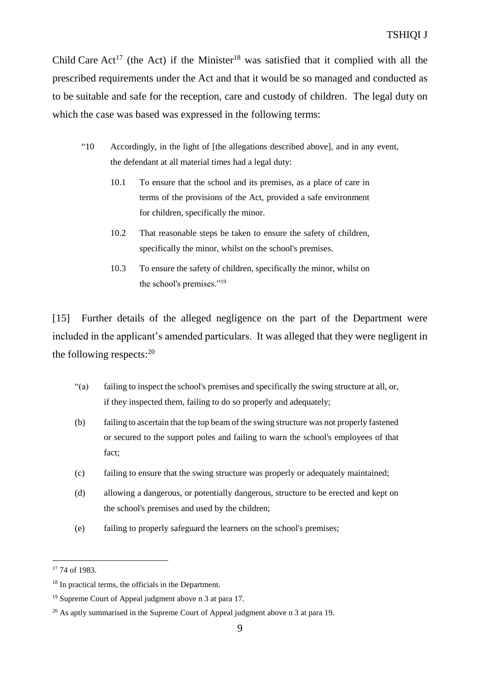Child Care  $Act^{17}$  (the Act) if the Minister<sup>18</sup> was satisfied that it complied with all the prescribed requirements under the Act and that it would be so managed and conducted as to be suitable and safe for the reception, care and custody of children. The legal duty on which the case was based was expressed in the following terms:

- "10 Accordingly, in the light of [the allegations described above], and in any event, the defendant at all material times had a legal duty:
	- 10.1 To ensure that the school and its premises, as a place of care in terms of the provisions of the Act, provided a safe environment for children, specifically the minor.
	- 10.2 That reasonable steps be taken to ensure the safety of children, specifically the minor, whilst on the school's premises.
	- 10.3 To ensure the safety of children, specifically the minor, whilst on the school's premises."<sup>19</sup>

[15] Further details of the alleged negligence on the part of the Department were included in the applicant's amended particulars. It was alleged that they were negligent in the following respects: 20

- "(a) failing to inspect the school's premises and specifically the swing structure at all, or, if they inspected them, failing to do so properly and adequately;
- (b) failing to ascertain that the top beam of the swing structure was not properly fastened or secured to the support poles and failing to warn the school's employees of that fact;
- (c) failing to ensure that the swing structure was properly or adequately maintained;
- (d) allowing a dangerous, or potentially dangerous, structure to be erected and kept on the school's premises and used by the children;
- (e) failing to properly safeguard the learners on the school's premises;

<sup>17</sup> 74 of 1983.

<sup>18</sup> In practical terms, the officials in the Department.

<sup>19</sup> Supreme Court of Appeal judgment above n 3 at para 17.

<sup>&</sup>lt;sup>20</sup> As aptly summarised in the Supreme Court of Appeal judgment above n 3 at para 19.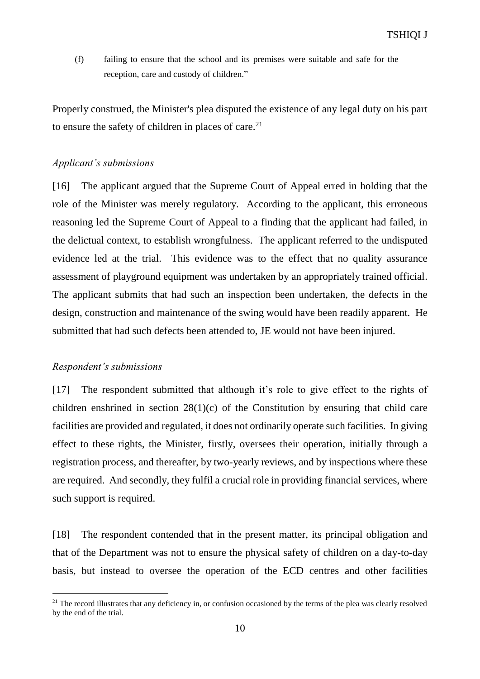(f) failing to ensure that the school and its premises were suitable and safe for the reception, care and custody of children."

Properly construed, the Minister's plea disputed the existence of any legal duty on his part to ensure the safety of children in places of care.<sup>21</sup>

## *Applicant's submissions*

[16] The applicant argued that the Supreme Court of Appeal erred in holding that the role of the Minister was merely regulatory. According to the applicant, this erroneous reasoning led the Supreme Court of Appeal to a finding that the applicant had failed, in the delictual context, to establish wrongfulness. The applicant referred to the undisputed evidence led at the trial. This evidence was to the effect that no quality assurance assessment of playground equipment was undertaken by an appropriately trained official. The applicant submits that had such an inspection been undertaken, the defects in the design, construction and maintenance of the swing would have been readily apparent. He submitted that had such defects been attended to, JE would not have been injured.

## *Respondent's submissions*

 $\overline{a}$ 

[17] The respondent submitted that although it's role to give effect to the rights of children enshrined in section  $28(1)(c)$  of the Constitution by ensuring that child care facilities are provided and regulated, it does not ordinarily operate such facilities. In giving effect to these rights, the Minister, firstly, oversees their operation, initially through a registration process, and thereafter, by two-yearly reviews, and by inspections where these are required. And secondly, they fulfil a crucial role in providing financial services, where such support is required.

[18] The respondent contended that in the present matter, its principal obligation and that of the Department was not to ensure the physical safety of children on a day-to-day basis, but instead to oversee the operation of the ECD centres and other facilities

 $21$  The record illustrates that any deficiency in, or confusion occasioned by the terms of the plea was clearly resolved by the end of the trial.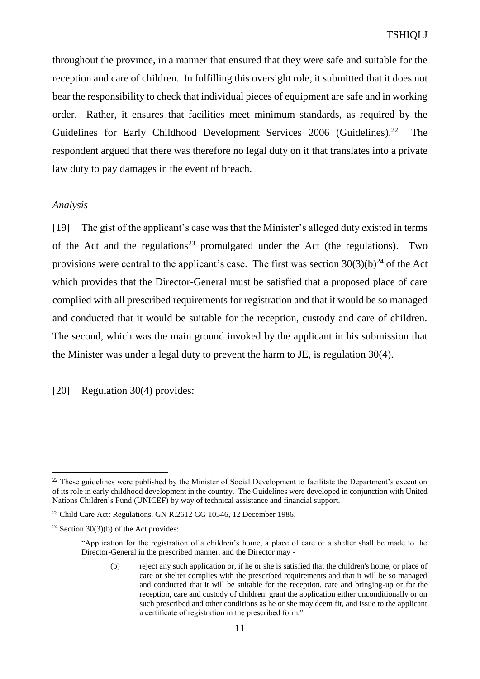throughout the province, in a manner that ensured that they were safe and suitable for the reception and care of children. In fulfilling this oversight role, it submitted that it does not bear the responsibility to check that individual pieces of equipment are safe and in working order. Rather, it ensures that facilities meet minimum standards, as required by the Guidelines for Early Childhood Development Services 2006 (Guidelines).<sup>22</sup> The respondent argued that there was therefore no legal duty on it that translates into a private law duty to pay damages in the event of breach.

### *Analysis*

 $\overline{a}$ 

[19] The gist of the applicant's case was that the Minister's alleged duty existed in terms of the Act and the regulations<sup>23</sup> promulgated under the Act (the regulations). Two provisions were central to the applicant's case. The first was section  $30(3)(b)^{24}$  of the Act which provides that the Director-General must be satisfied that a proposed place of care complied with all prescribed requirements for registration and that it would be so managed and conducted that it would be suitable for the reception, custody and care of children. The second, which was the main ground invoked by the applicant in his submission that the Minister was under a legal duty to prevent the harm to JE, is regulation 30(4).

[20] Regulation 30(4) provides:

<sup>&</sup>lt;sup>22</sup> These guidelines were published by the Minister of Social Development to facilitate the Department's execution of its role in early childhood development in the country. The Guidelines were developed in conjunction with United Nations Children's Fund (UNICEF) by way of technical assistance and financial support.

<sup>&</sup>lt;sup>23</sup> Child Care Act: Regulations, GN R.2612 GG 10546, 12 December 1986.

<sup>&</sup>lt;sup>24</sup> Section 30(3)(b) of the Act provides:

<sup>&</sup>quot;Application for the registration of a children's home, a place of care or a shelter shall be made to the Director-General in the prescribed manner, and the Director may -

<sup>(</sup>b) reject any such application or, if he or she is satisfied that the children's home, or place of care or shelter complies with the prescribed requirements and that it will be so managed and conducted that it will be suitable for the reception, care and bringing-up or for the reception, care and custody of children, grant the application either unconditionally or on such prescribed and other conditions as he or she may deem fit, and issue to the applicant a certificate of registration in the prescribed form."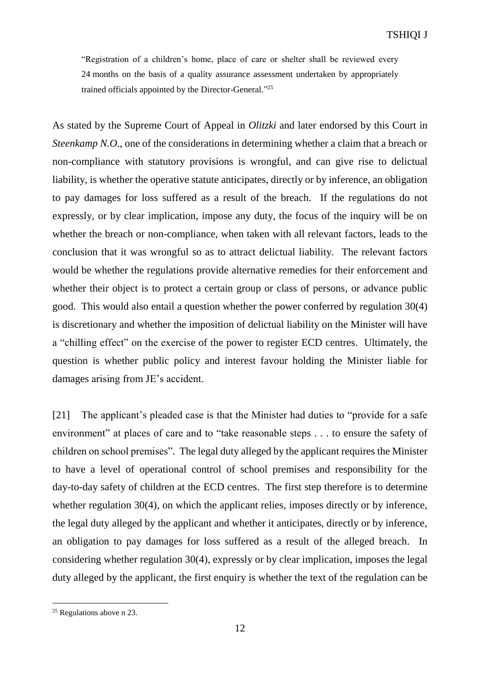"Registration of a children's home, place of care or shelter shall be reviewed every 24 months on the basis of a quality assurance assessment undertaken by appropriately trained officials appointed by the Director-General."<sup>25</sup>

As stated by the Supreme Court of Appeal in *Olitzki* and later endorsed by this Court in *Steenkamp N.O.*, one of the considerations in determining whether a claim that a breach or non-compliance with statutory provisions is wrongful, and can give rise to delictual liability, is whether the operative statute anticipates, directly or by inference, an obligation to pay damages for loss suffered as a result of the breach. If the regulations do not expressly, or by clear implication, impose any duty, the focus of the inquiry will be on whether the breach or non-compliance, when taken with all relevant factors, leads to the conclusion that it was wrongful so as to attract delictual liability. The relevant factors would be whether the regulations provide alternative remedies for their enforcement and whether their object is to protect a certain group or class of persons, or advance public good. This would also entail a question whether the power conferred by regulation 30(4) is discretionary and whether the imposition of delictual liability on the Minister will have a "chilling effect" on the exercise of the power to register ECD centres. Ultimately, the question is whether public policy and interest favour holding the Minister liable for damages arising from JE's accident.

[21] The applicant's pleaded case is that the Minister had duties to "provide for a safe environment" at places of care and to "take reasonable steps . . . to ensure the safety of children on school premises". The legal duty alleged by the applicant requires the Minister to have a level of operational control of school premises and responsibility for the day-to-day safety of children at the ECD centres. The first step therefore is to determine whether regulation 30(4), on which the applicant relies, imposes directly or by inference, the legal duty alleged by the applicant and whether it anticipates, directly or by inference, an obligation to pay damages for loss suffered as a result of the alleged breach. In considering whether regulation 30(4), expressly or by clear implication, imposes the legal duty alleged by the applicant, the first enquiry is whether the text of the regulation can be

<sup>&</sup>lt;sup>25</sup> Regulations above n 23.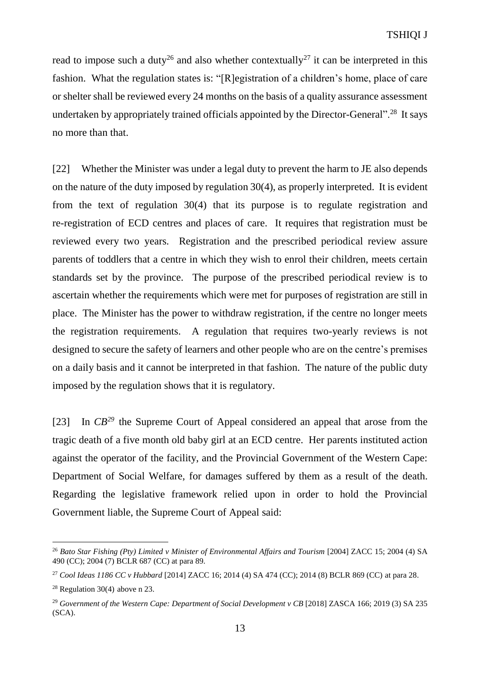read to impose such a duty<sup>26</sup> and also whether contextually<sup>27</sup> it can be interpreted in this fashion. What the regulation states is: "[R]egistration of a children's home, place of care or shelter shall be reviewed every 24 months on the basis of a quality assurance assessment undertaken by appropriately trained officials appointed by the Director-General".<sup>28</sup> It says no more than that.

[22] Whether the Minister was under a legal duty to prevent the harm to JE also depends on the nature of the duty imposed by regulation 30(4), as properly interpreted. It is evident from the text of regulation 30(4) that its purpose is to regulate registration and re-registration of ECD centres and places of care. It requires that registration must be reviewed every two years. Registration and the prescribed periodical review assure parents of toddlers that a centre in which they wish to enrol their children, meets certain standards set by the province. The purpose of the prescribed periodical review is to ascertain whether the requirements which were met for purposes of registration are still in place. The Minister has the power to withdraw registration, if the centre no longer meets the registration requirements. A regulation that requires two-yearly reviews is not designed to secure the safety of learners and other people who are on the centre's premises on a daily basis and it cannot be interpreted in that fashion. The nature of the public duty imposed by the regulation shows that it is regulatory.

[23] In *CB <sup>29</sup>* the Supreme Court of Appeal considered an appeal that arose from the tragic death of a five month old baby girl at an ECD centre. Her parents instituted action against the operator of the facility, and the Provincial Government of the Western Cape: Department of Social Welfare, for damages suffered by them as a result of the death. Regarding the legislative framework relied upon in order to hold the Provincial Government liable, the Supreme Court of Appeal said:

<sup>26</sup> *Bato Star Fishing (Pty) Limited v Minister of Environmental Affairs and Tourism* [2004] ZACC 15; 2004 (4) SA 490 (CC); 2004 (7) BCLR 687 (CC) at para 89.

<sup>27</sup> *Cool Ideas 1186 CC v Hubbard* [2014] ZACC 16; 2014 (4) SA 474 (CC); 2014 (8) BCLR 869 (CC) at para 28.

<sup>28</sup> Regulation 30(4) above n 23.

<sup>&</sup>lt;sup>29</sup> Government of the Western Cape: Department of Social Development v CB [2018] ZASCA 166; 2019 (3) SA 235 (SCA).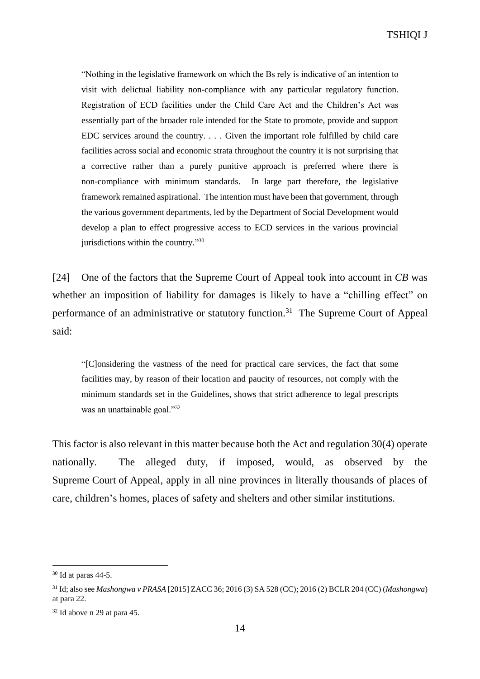"Nothing in the legislative framework on which the Bs rely is indicative of an intention to visit with delictual liability non-compliance with any particular regulatory function. Registration of ECD facilities under the Child Care Act and the Children's Act was essentially part of the broader role intended for the State to promote, provide and support EDC services around the country. . . . Given the important role fulfilled by child care facilities across social and economic strata throughout the country it is not surprising that a corrective rather than a purely punitive approach is preferred where there is non-compliance with minimum standards. In large part therefore, the legislative framework remained aspirational. The intention must have been that government, through the various government departments, led by the Department of Social Development would develop a plan to effect progressive access to ECD services in the various provincial jurisdictions within the country."<sup>30</sup>

[24] One of the factors that the Supreme Court of Appeal took into account in *CB* was whether an imposition of liability for damages is likely to have a "chilling effect" on performance of an administrative or statutory function.<sup>31</sup> The Supreme Court of Appeal said:

"[C]onsidering the vastness of the need for practical care services, the fact that some facilities may, by reason of their location and paucity of resources, not comply with the minimum standards set in the Guidelines, shows that strict adherence to legal prescripts was an unattainable goal."<sup>32</sup>

This factor is also relevant in this matter because both the Act and regulation 30(4) operate nationally. The alleged duty, if imposed, would, as observed by the Supreme Court of Appeal, apply in all nine provinces in literally thousands of places of care, children's homes, places of safety and shelters and other similar institutions.

 $30$  Id at paras 44-5.

<sup>31</sup> Id; also see *Mashongwa v PRASA* [2015] ZACC 36; 2016 (3) SA 528 (CC); 2016 (2) BCLR 204 (CC) (*Mashongwa*) at para 22.

<sup>32</sup> Id above n 29 at para 45.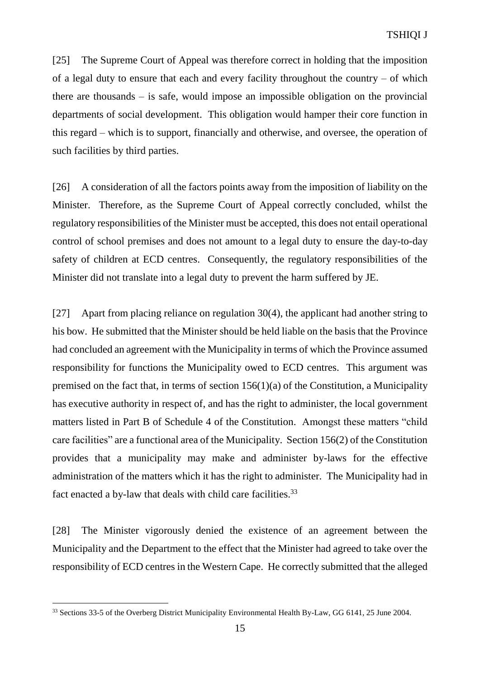[25] The Supreme Court of Appeal was therefore correct in holding that the imposition of a legal duty to ensure that each and every facility throughout the country – of which there are thousands – is safe, would impose an impossible obligation on the provincial departments of social development. This obligation would hamper their core function in this regard – which is to support, financially and otherwise, and oversee, the operation of such facilities by third parties.

[26] A consideration of all the factors points away from the imposition of liability on the Minister. Therefore, as the Supreme Court of Appeal correctly concluded, whilst the regulatory responsibilities of the Minister must be accepted, this does not entail operational control of school premises and does not amount to a legal duty to ensure the day-to-day safety of children at ECD centres. Consequently, the regulatory responsibilities of the Minister did not translate into a legal duty to prevent the harm suffered by JE.

[27] Apart from placing reliance on regulation 30(4), the applicant had another string to his bow. He submitted that the Minister should be held liable on the basis that the Province had concluded an agreement with the Municipality in terms of which the Province assumed responsibility for functions the Municipality owed to ECD centres. This argument was premised on the fact that, in terms of section 156(1)(a) of the Constitution, a Municipality has executive authority in respect of, and has the right to administer, the local government matters listed in Part B of Schedule 4 of the Constitution. Amongst these matters "child care facilities" are a functional area of the Municipality. Section 156(2) of the Constitution provides that a municipality may make and administer by-laws for the effective administration of the matters which it has the right to administer. The Municipality had in fact enacted a by-law that deals with child care facilities.<sup>33</sup>

[28] The Minister vigorously denied the existence of an agreement between the Municipality and the Department to the effect that the Minister had agreed to take over the responsibility of ECD centres in the Western Cape. He correctly submitted that the alleged

<sup>&</sup>lt;sup>33</sup> Sections 33-5 of the Overberg District Municipality Environmental Health By-Law, GG 6141, 25 June 2004.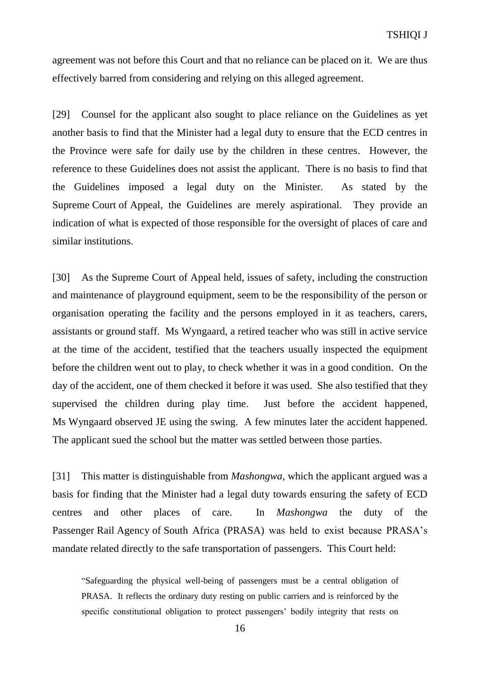agreement was not before this Court and that no reliance can be placed on it. We are thus effectively barred from considering and relying on this alleged agreement.

[29] Counsel for the applicant also sought to place reliance on the Guidelines as yet another basis to find that the Minister had a legal duty to ensure that the ECD centres in the Province were safe for daily use by the children in these centres. However, the reference to these Guidelines does not assist the applicant. There is no basis to find that the Guidelines imposed a legal duty on the Minister. As stated by the Supreme Court of Appeal, the Guidelines are merely aspirational. They provide an indication of what is expected of those responsible for the oversight of places of care and similar institutions.

[30] As the Supreme Court of Appeal held, issues of safety, including the construction and maintenance of playground equipment, seem to be the responsibility of the person or organisation operating the facility and the persons employed in it as teachers, carers, assistants or ground staff. Ms Wyngaard, a retired teacher who was still in active service at the time of the accident, testified that the teachers usually inspected the equipment before the children went out to play, to check whether it was in a good condition. On the day of the accident, one of them checked it before it was used. She also testified that they supervised the children during play time. Just before the accident happened, Ms Wyngaard observed JE using the swing. A few minutes later the accident happened. The applicant sued the school but the matter was settled between those parties.

[31] This matter is distinguishable from *Mashongwa*, which the applicant argued was a basis for finding that the Minister had a legal duty towards ensuring the safety of ECD centres and other places of care. In *Mashongwa* the duty of the Passenger Rail Agency of South Africa (PRASA) was held to exist because PRASA's mandate related directly to the safe transportation of passengers. This Court held:

"Safeguarding the physical well-being of passengers must be a central obligation of PRASA. It reflects the ordinary duty resting on public carriers and is reinforced by the specific constitutional obligation to protect passengers' bodily integrity that rests on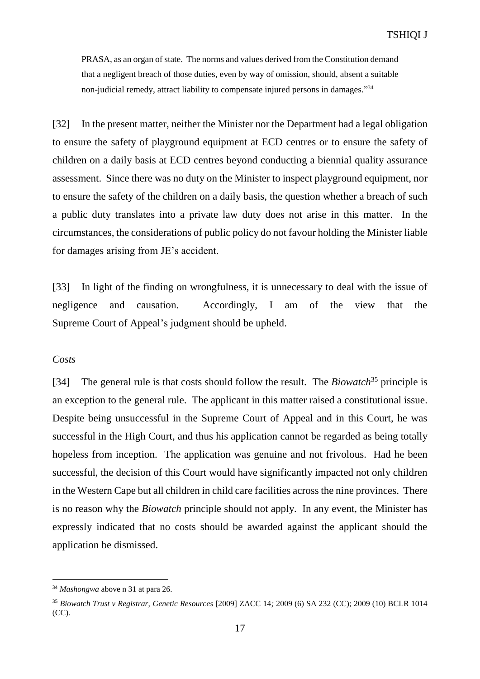PRASA, as an organ of state. The norms and values derived from the Constitution demand that a negligent breach of those duties, even by way of omission, should, absent a suitable non-judicial remedy, attract liability to compensate injured persons in damages." 34

[32] In the present matter, neither the Minister nor the Department had a legal obligation to ensure the safety of playground equipment at ECD centres or to ensure the safety of children on a daily basis at ECD centres beyond conducting a biennial quality assurance assessment. Since there was no duty on the Minister to inspect playground equipment, nor to ensure the safety of the children on a daily basis, the question whether a breach of such a public duty translates into a private law duty does not arise in this matter. In the circumstances, the considerations of public policy do not favour holding the Minister liable for damages arising from JE's accident.

[33] In light of the finding on wrongfulness, it is unnecessary to deal with the issue of negligence and causation. Accordingly, I am of the view that the Supreme Court of Appeal's judgment should be upheld.

#### *Costs*

 $\overline{a}$ 

[34] The general rule is that costs should follow the result. The *Biowatch*<sup>35</sup> principle is an exception to the general rule. The applicant in this matter raised a constitutional issue. Despite being unsuccessful in the Supreme Court of Appeal and in this Court, he was successful in the High Court, and thus his application cannot be regarded as being totally hopeless from inception. The application was genuine and not frivolous. Had he been successful, the decision of this Court would have significantly impacted not only children in the Western Cape but all children in child care facilities across the nine provinces. There is no reason why the *Biowatch* principle should not apply. In any event, the Minister has expressly indicated that no costs should be awarded against the applicant should the application be dismissed.

<sup>34</sup> *Mashongwa* above n 31 at para 26.

<sup>35</sup> *Biowatch Trust v Registrar, Genetic Resources* [2009] ZACC 14*;* 2009 (6) SA 232 (CC); 2009 (10) BCLR 1014 (CC).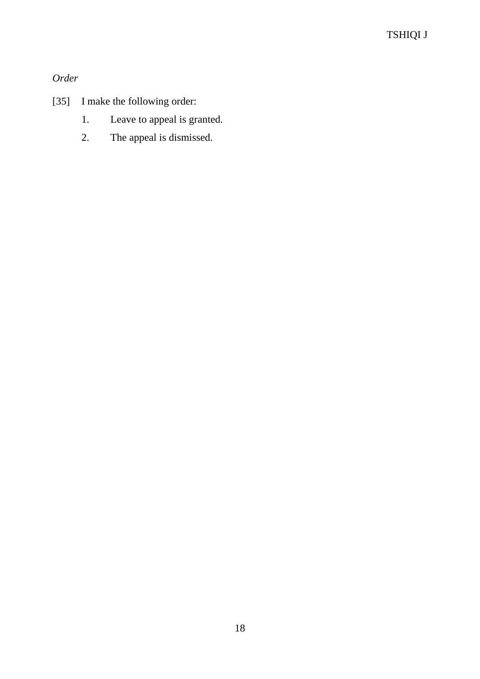*Order*

- [35] I make the following order:
	- 1. Leave to appeal is granted.
	- 2. The appeal is dismissed.